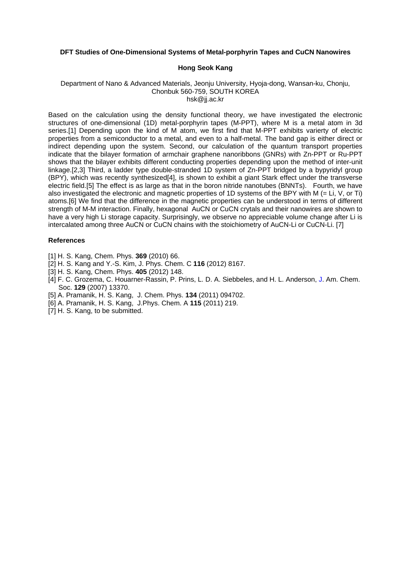## **DFT Studies of One-Dimensional Systems of Metal-porphyrin Tapes and CuCN Nanowires**

## **Hong Seok Kang**

## Department of Nano & Advanced Materials, Jeonju University, Hyoja-dong, Wansan-ku, Chonju, Chonbuk 560-759, SOUTH KOREA hsk@jj.ac.kr

Based on the calculation using the density functional theory, we have investigated the electronic structures of one-dimensional (1D) metal-porphyrin tapes (M-PPT), where M is a metal atom in 3d series.[1] Depending upon the kind of M atom, we first find that M-PPT exhibits varierty of electric properties from a semiconductor to a metal, and even to a half-metal. The band gap is either direct or indirect depending upon the system. Second, our calculation of the quantum transport properties indicate that the bilayer formation of armchair graphene nanoribbons (GNRs) with Zn-PPT or Ru-PPT shows that the bilayer exhibits different conducting properties depending upon the method of inter-unit linkage.[2,3] Third, a ladder type double-stranded 1D system of Zn-PPT bridged by a bypyridyl group (BPY), which was recently synthesized[4], is shown to exhibit a giant Stark effect under the transverse electric field.[5] The effect is as large as that in the boron nitride nanotubes (BNNTs). Fourth, we have also investigated the electronic and magnetic properties of 1D systems of the BPY with M (= Li, V, or Ti) atoms.[6] We find that the difference in the magnetic properties can be understood in terms of different strength of M-M interaction. Finally, hexagonal AuCN or CuCN crytals and their nanowires are shown to have a very high Li storage capacity. Surprisingly, we observe no appreciable volume change after Li is intercalated among three AuCN or CuCN chains with the stoichiometry of AuCN-Li or CuCN-Li. [7]

## **References**

- [1] H. S. Kang, Chem. Phys. **369** (2010) 66.
- [2] H. S. Kang and Y.-S. Kim, J. Phys. Chem. C **116** (2012) 8167.
- [3] H. S. Kang, Chem. Phys. **405** (2012) 148.
- [4] F. C. Grozema, C. Houarner-Rassin, P. Prins, L. D. A. Siebbeles, and H. L. Anderson, J. Am. Chem. Soc. **129** (2007) 13370.
- [5] A. Pramanik, H. S. Kang, J. Chem. Phys. **134** (2011) 094702.
- [6] A. Pramanik, H. S. Kang, J.Phys. Chem. A **115** (2011) 219.
- [7] H. S. Kang, to be submitted.